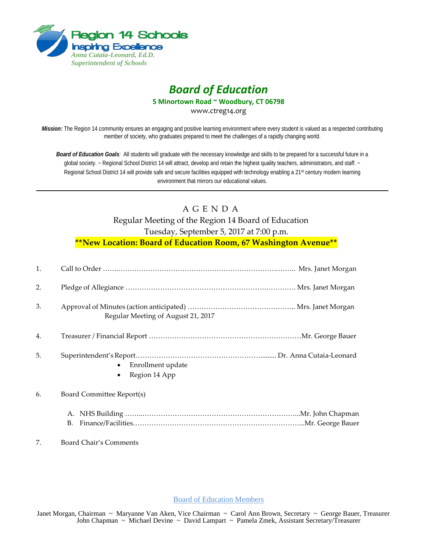

# *Board of Education*

**5 Minortown Road ~ Woodbury, CT 06798**

www.ctreg14.org

*Mission:* The Region 14 community ensures an engaging and positive learning environment where every student is valued as a respected contributing member of society, who graduates prepared to meet the challenges of a rapidly changing world.

*Board of Education Goals:* All students will graduate with the necessary knowledge and skills to be prepared for a successful future in a global society. ~ Regional School District 14 will attract, develop and retain the highest quality teachers, administrators, and staff. ~ Regional School District 14 will provide safe and secure facilities equipped with technology enabling a 21<sup>st</sup> century modern learning environment that mirrors our educational values.

## A G E N D A Regular Meeting of the Region 14 Board of Education Tuesday, September 5, 2017 at 7:00 p.m. **\*\*New Location: Board of Education Room, 67 Washington Avenue\*\***

| 1. |                                                              |
|----|--------------------------------------------------------------|
| 2. |                                                              |
| 3. | Regular Meeting of August 21, 2017                           |
| 4. |                                                              |
| 5. | Enrollment update<br>$\bullet$<br>Region 14 App<br>$\bullet$ |
| 6. | Board Committee Report(s)                                    |
|    | А.<br>В.                                                     |
| 7. | Board Chair's Comments                                       |

Board of Education Members